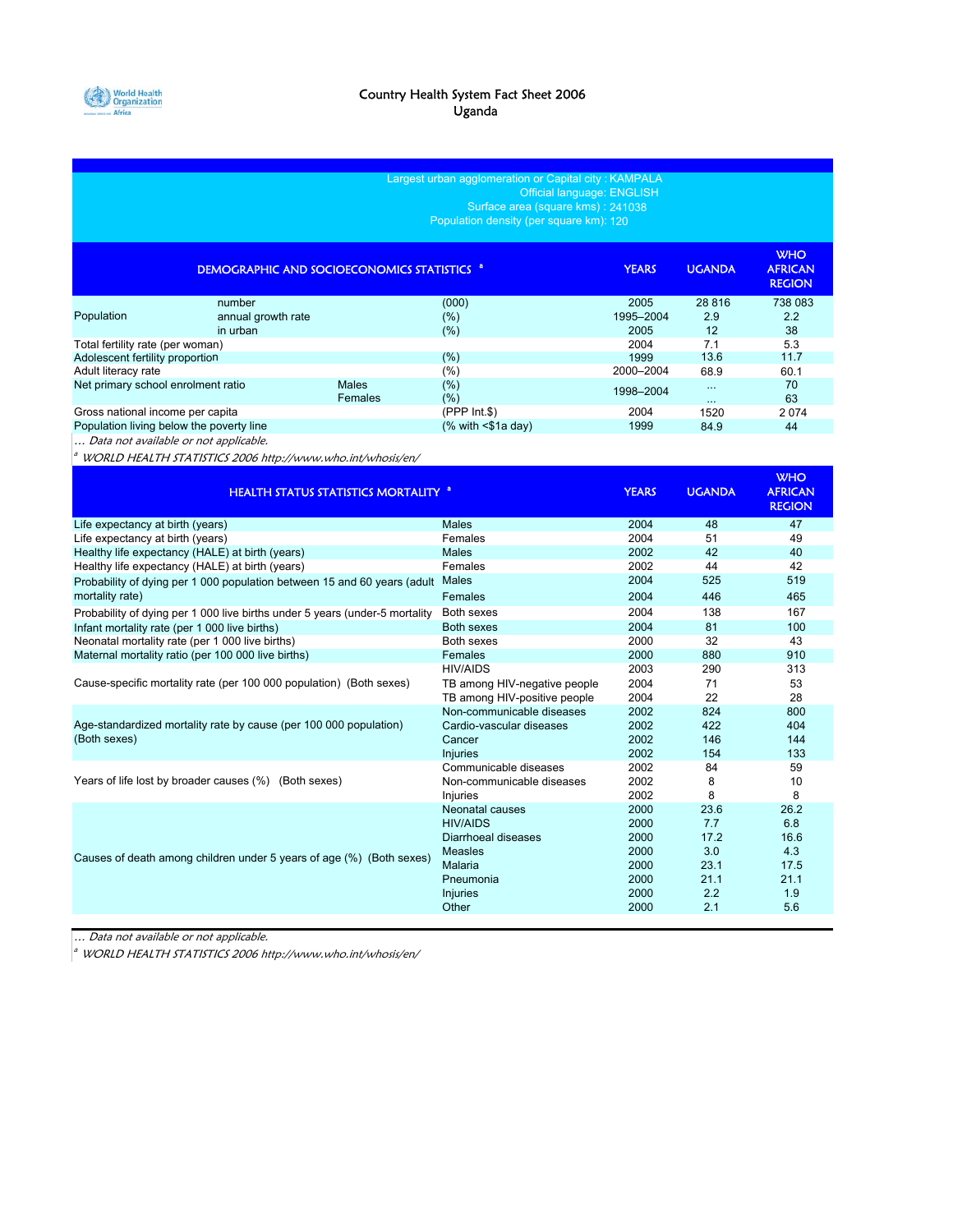

| Largest urban agglomeration or Capital city: KAMPALA<br>Official language: ENGLISH<br>Surface area (square kms): 241038<br>Population density (per square km): 120 |                                                                             |              |                                                                                                                                                           |                                                                      |                                                               |                                                               |
|--------------------------------------------------------------------------------------------------------------------------------------------------------------------|-----------------------------------------------------------------------------|--------------|-----------------------------------------------------------------------------------------------------------------------------------------------------------|----------------------------------------------------------------------|---------------------------------------------------------------|---------------------------------------------------------------|
|                                                                                                                                                                    | <b>DEMOGRAPHIC AND SOCIOECONOMICS STATISTICS <sup>8</sup></b>               |              |                                                                                                                                                           | <b>YEARS</b>                                                         | <b>UGANDA</b>                                                 | <b>WHO</b><br><b>AFRICAN</b><br><b>REGION</b>                 |
| Population                                                                                                                                                         | number<br>annual growth rate<br>in urban                                    |              | (000)<br>$(\% )$<br>(%)                                                                                                                                   | 2005<br>1995-2004<br>2005                                            | 28 816<br>2.9<br>12                                           | 738 083<br>2.2<br>38                                          |
| Total fertility rate (per woman)<br>Adolescent fertility proportion<br>Adult literacy rate<br>Net primary school enrolment ratio                                   |                                                                             | <b>Males</b> | (%)<br>(%)<br>(%)                                                                                                                                         | 2004<br>1999<br>2000-2004<br>1998-2004                               | 7.1<br>13.6<br>68.9<br>$\ldots$                               | 5.3<br>11.7<br>60.1<br>70                                     |
| Gross national income per capita<br>Population living below the poverty line                                                                                       |                                                                             | Females      | (%)<br>$(PPP Int.$ \$)<br>$%$ with $<$ \$1a day)                                                                                                          | 2004<br>1999                                                         | $\cdots$<br>1520<br>84.9                                      | 63<br>2074<br>44                                              |
| Data not available or not applicable.                                                                                                                              | WORLD HEALTH STATISTICS 2006 http://www.who.int/whosis/en/                  |              |                                                                                                                                                           |                                                                      |                                                               | <b>WHO</b>                                                    |
|                                                                                                                                                                    | <b>HEALTH STATUS STATISTICS MORTALITY <sup>a</sup></b>                      |              |                                                                                                                                                           | <b>YEARS</b>                                                         | <b>UGANDA</b>                                                 | <b>AFRICAN</b><br><b>REGION</b>                               |
| Life expectancy at birth (years)                                                                                                                                   |                                                                             |              | <b>Males</b>                                                                                                                                              | 2004                                                                 | 48                                                            | 47                                                            |
| Life expectancy at birth (years)                                                                                                                                   |                                                                             |              | Females                                                                                                                                                   | 2004                                                                 | 51                                                            | 49                                                            |
|                                                                                                                                                                    | Healthy life expectancy (HALE) at birth (years)                             |              | <b>Males</b>                                                                                                                                              | 2002                                                                 | 42                                                            | 40                                                            |
|                                                                                                                                                                    | Healthy life expectancy (HALE) at birth (years)                             |              | Females                                                                                                                                                   | 2002                                                                 | 44                                                            | 42                                                            |
| mortality rate)                                                                                                                                                    | Probability of dying per 1 000 population between 15 and 60 years (adult    |              | <b>Males</b><br>Females                                                                                                                                   | 2004<br>2004                                                         | 525<br>446                                                    | 519<br>465                                                    |
|                                                                                                                                                                    | Probability of dying per 1 000 live births under 5 years (under-5 mortality |              | Both sexes                                                                                                                                                | 2004                                                                 | 138                                                           | 167                                                           |
| Infant mortality rate (per 1 000 live births)                                                                                                                      |                                                                             |              | <b>Both sexes</b>                                                                                                                                         | 2004                                                                 | 81                                                            | 100                                                           |
| Neonatal mortality rate (per 1 000 live births)                                                                                                                    |                                                                             |              | Both sexes                                                                                                                                                | 2000                                                                 | 32                                                            | 43                                                            |
|                                                                                                                                                                    | Maternal mortality ratio (per 100 000 live births)                          |              | Females                                                                                                                                                   | 2000                                                                 | 880                                                           | 910                                                           |
|                                                                                                                                                                    | Cause-specific mortality rate (per 100 000 population) (Both sexes)         |              | <b>HIV/AIDS</b><br>TB among HIV-negative people                                                                                                           | 2003<br>2004                                                         | 290<br>71                                                     | 313<br>53                                                     |
| (Both sexes)                                                                                                                                                       | Age-standardized mortality rate by cause (per 100 000 population)           |              | TB among HIV-positive people<br>Non-communicable diseases<br>Cardio-vascular diseases<br>Cancer                                                           | 2004<br>2002<br>2002<br>2002                                         | 22<br>824<br>422<br>146                                       | 28<br>800<br>404<br>144                                       |
|                                                                                                                                                                    |                                                                             |              | <b>Injuries</b>                                                                                                                                           | 2002                                                                 | 154                                                           | 133                                                           |
|                                                                                                                                                                    | Years of life lost by broader causes (%) (Both sexes)                       |              | Communicable diseases<br>Non-communicable diseases                                                                                                        | 2002<br>2002                                                         | 84<br>8                                                       | 59<br>10                                                      |
|                                                                                                                                                                    | Causes of death among children under 5 years of age (%) (Both sexes)        |              | <b>Injuries</b><br>Neonatal causes<br><b>HIV/AIDS</b><br>Diarrhoeal diseases<br><b>Measles</b><br><b>Malaria</b><br>Pneumonia<br><b>Injuries</b><br>Other | 2002<br>2000<br>2000<br>2000<br>2000<br>2000<br>2000<br>2000<br>2000 | 8<br>23.6<br>7.7<br>17.2<br>3.0<br>23.1<br>21.1<br>2.2<br>2.1 | 8<br>26.2<br>6.8<br>16.6<br>4.3<br>17.5<br>21.1<br>1.9<br>5.6 |

… Data not available or not applicable.

<sup>a</sup> WORLD HEALTH STATISTICS 2006 http://www.who.int/whosis/en/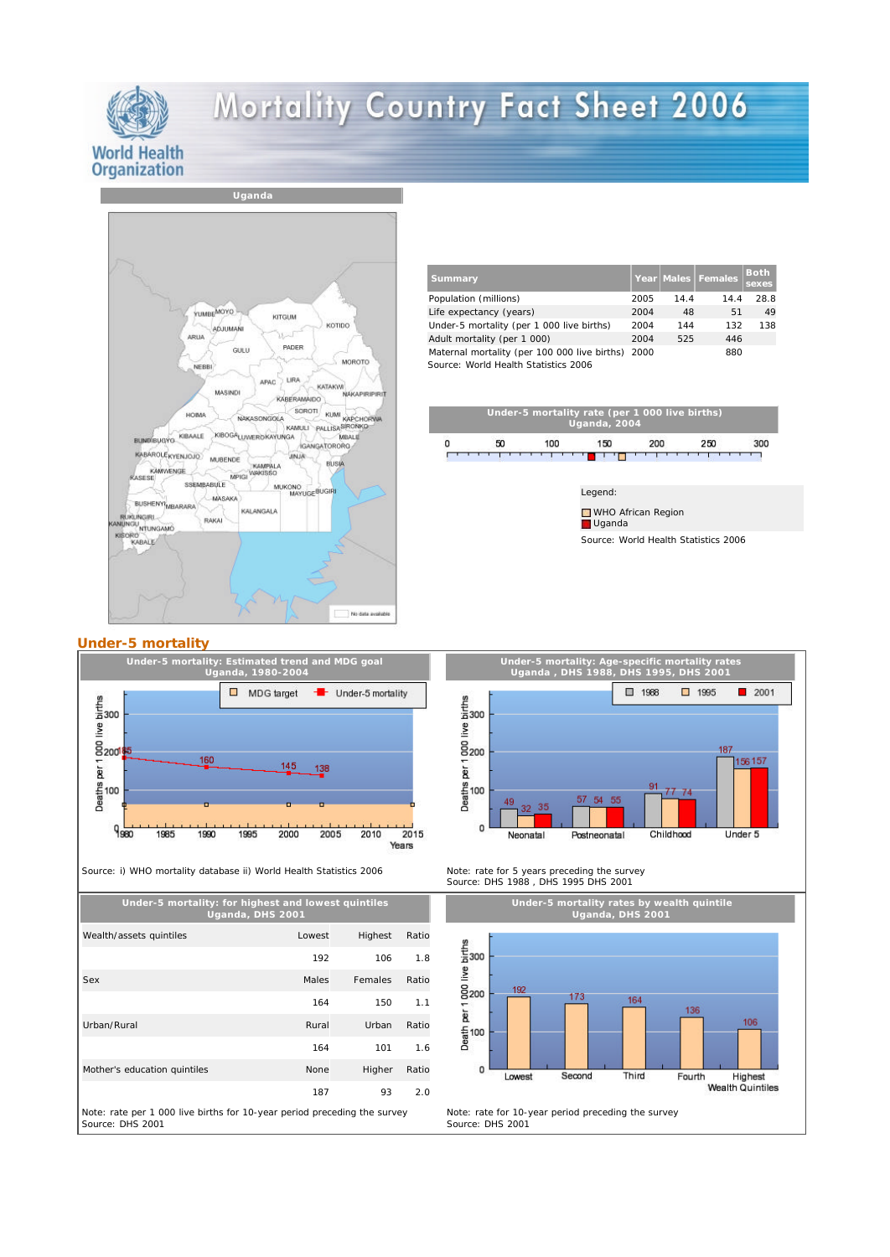

## Mortality Country Fact Sheet 2006



## **Under-5 mortality**



Source: i) WHO mortality database ii) World Health Statistics 2006

**Under-5 mortality: for highest and lowest quintiles Uganda, DHS 2001** Wealth/assets quintiles **Lowest** Highest Ratio 192 106 1.8 Sex **Males** Females Ratio 164 150 1.1 Urban/Rural Rural Rural Rural Urban Ratio 164 101 1.6 Mother's education quintiles None Higher Ratio 187 93 2.0 Note: rate per 1 000 live births for 10-year period preceding the survey Source: DHS 2001

| <b>Summary</b>                                                                       |      |      | Year Males Females | <b>Both</b><br>sexes |
|--------------------------------------------------------------------------------------|------|------|--------------------|----------------------|
| Population (millions)                                                                | 2005 | 14.4 | 14.4               | 28.8                 |
| Life expectancy (years)                                                              | 2004 | 48   | 51                 | 49                   |
| Under-5 mortality (per 1 000 live births)                                            | 2004 | 144  | 132                | 138                  |
| Adult mortality (per 1 000)                                                          | 2004 | 525  | 446                |                      |
| Maternal mortality (per 100 000 live births)<br>Source: World Health Statistics 2006 | 2000 |      | 880                |                      |



Source: World Health Statistics 2006





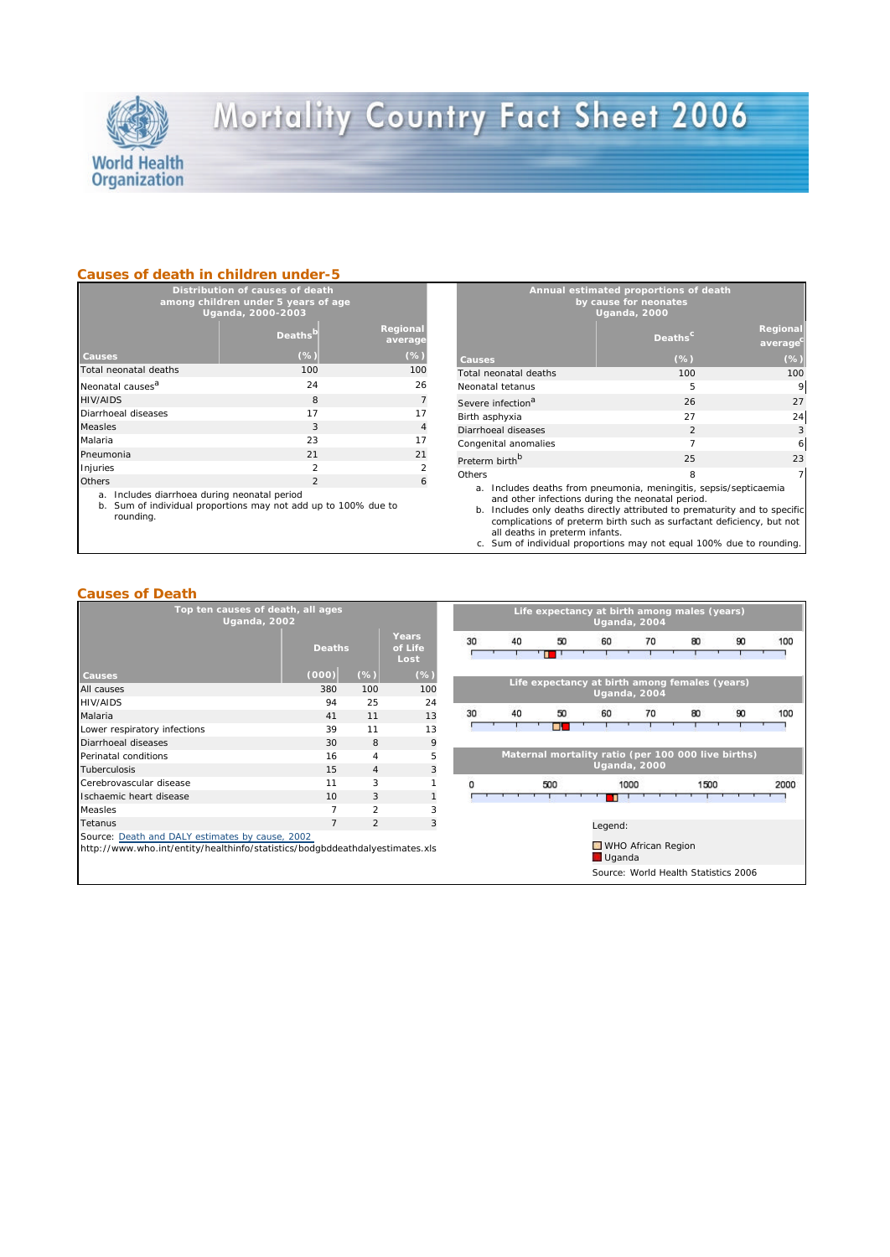

# Mortality Country Fact Sheet 2006

#### **Causes of death in children under-5**

| Distribution of causes of death<br>among children under 5 years of age<br>Uganda, 2000-2003 |                     |                     |  |  |
|---------------------------------------------------------------------------------------------|---------------------|---------------------|--|--|
|                                                                                             | Deaths <sup>b</sup> | Regional<br>average |  |  |
| Causes                                                                                      | (%                  | (%)                 |  |  |
| Total neonatal deaths                                                                       | 100                 | 100                 |  |  |
| Neonatal causes <sup>a</sup>                                                                | 24                  | 26                  |  |  |
| HIV/AIDS                                                                                    | 8                   | $\overline{7}$      |  |  |
| Diarrhoeal diseases                                                                         | 17                  | 17                  |  |  |
| Measles                                                                                     | 3                   | $\overline{4}$      |  |  |
| Malaria                                                                                     | 23                  | 17                  |  |  |
| Pneumonia                                                                                   | 21                  | 21                  |  |  |
| Injuries                                                                                    | $\mathcal{P}$       | $\mathcal{P}$       |  |  |
| Others                                                                                      | $\mathcal{P}$       | 6                   |  |  |

a. Includes diarrhoea during neonatal period

b. Sum of individual proportions may not add up to 100% due to rounding.

|                                                                      | Annual estimated proportions of death<br>by cause for neonates<br><b>Uganda, 2000</b> |                     |
|----------------------------------------------------------------------|---------------------------------------------------------------------------------------|---------------------|
|                                                                      | Deaths <sup>c</sup>                                                                   | Regional<br>average |
| Causes                                                               | $(\%)$                                                                                | $(\% )$             |
| Total neonatal deaths                                                | 100                                                                                   | 100                 |
| Neonatal tetanus                                                     | 5                                                                                     | 9                   |
| Severe infection <sup>a</sup>                                        | 26                                                                                    | 27                  |
| Birth asphyxia                                                       | 27                                                                                    | 24                  |
| Diarrhoeal diseases                                                  | $\mathfrak{D}$                                                                        | 3                   |
| Congenital anomalies                                                 | $\overline{7}$                                                                        | 6                   |
| Preterm birth <sup>b</sup>                                           | 25                                                                                    | 23                  |
| Others                                                               | 8                                                                                     | 7                   |
| Includes deaths from pneumonia, meningitis, sepsis/septicaemia<br>a. |                                                                                       |                     |

a. Includes deaths from pneumonia, meningitis, sepsis/septicaemia<br>and other infections during the neonatal period. b. Includes only deaths directly attributed to prematurity and to specific

complications of preterm birth such as surfactant deficiency, but not all deaths in preterm infants.

#### **Causes of Death**

| Top ten causes of death, all ages<br><b>Uganda, 2002</b>                                                                        |                |                |                          | Life expectancy at birth among males (years)<br><b>Uganda, 2004</b> |    |         |                                                    |                     |                                      |    |      |
|---------------------------------------------------------------------------------------------------------------------------------|----------------|----------------|--------------------------|---------------------------------------------------------------------|----|---------|----------------------------------------------------|---------------------|--------------------------------------|----|------|
|                                                                                                                                 | <b>Deaths</b>  |                | Years<br>of Life<br>Lost | 30                                                                  | 40 | 50<br>п | 60                                                 | 70                  | 80                                   | 90 | 100  |
| <b>Causes</b>                                                                                                                   | (000)          | $(\%)$         | $(\%)$                   |                                                                     |    |         |                                                    |                     |                                      |    |      |
| All causes                                                                                                                      | 380            | 100            | 100                      |                                                                     |    |         | Life expectancy at birth among females (years)     | <b>Uganda, 2004</b> |                                      |    |      |
| <b>HIV/AIDS</b>                                                                                                                 | 94             | 25             | 24                       |                                                                     |    |         |                                                    |                     |                                      |    |      |
| Malaria                                                                                                                         | 41             | 11             | 13                       | 30                                                                  | 40 | 50      | 60                                                 | 70                  | 80                                   | 90 | 100  |
| Lower respiratory infections                                                                                                    | 39             | 11             | 13                       |                                                                     |    | п       |                                                    |                     |                                      |    |      |
| Diarrhoeal diseases                                                                                                             | 30             | 8              | 9                        |                                                                     |    |         |                                                    |                     |                                      |    |      |
| Perinatal conditions                                                                                                            | 16             | $\overline{4}$ | 5                        |                                                                     |    |         | Maternal mortality ratio (per 100 000 live births) |                     |                                      |    |      |
| <b>Tuberculosis</b>                                                                                                             | 15             | $\overline{4}$ | 3                        |                                                                     |    |         |                                                    | <b>Uganda, 2000</b> |                                      |    |      |
| Cerebrovascular disease                                                                                                         | 11             | 3              |                          |                                                                     |    | 500     |                                                    | 1000                | 1500                                 |    | 2000 |
| Ischaemic heart disease                                                                                                         | 10             | 3              |                          |                                                                     |    |         |                                                    |                     |                                      |    |      |
| Measles                                                                                                                         | $\overline{7}$ | $\overline{2}$ | 3                        |                                                                     |    |         |                                                    |                     |                                      |    |      |
| Tetanus                                                                                                                         | $\overline{7}$ | $\overline{2}$ | 3                        |                                                                     |    |         | Legend:                                            |                     |                                      |    |      |
| Source: Death and DALY estimates by cause, 2002<br>http://www.who.int/entity/healthinfo/statistics/bodgbddeathdalyestimates.xls |                |                |                          |                                                                     |    |         | Uganda                                             | WHO African Region  |                                      |    |      |
|                                                                                                                                 |                |                |                          |                                                                     |    |         |                                                    |                     | Source: World Health Statistics 2006 |    |      |

c. Sum of individual proportions may not equal 100% due to rounding.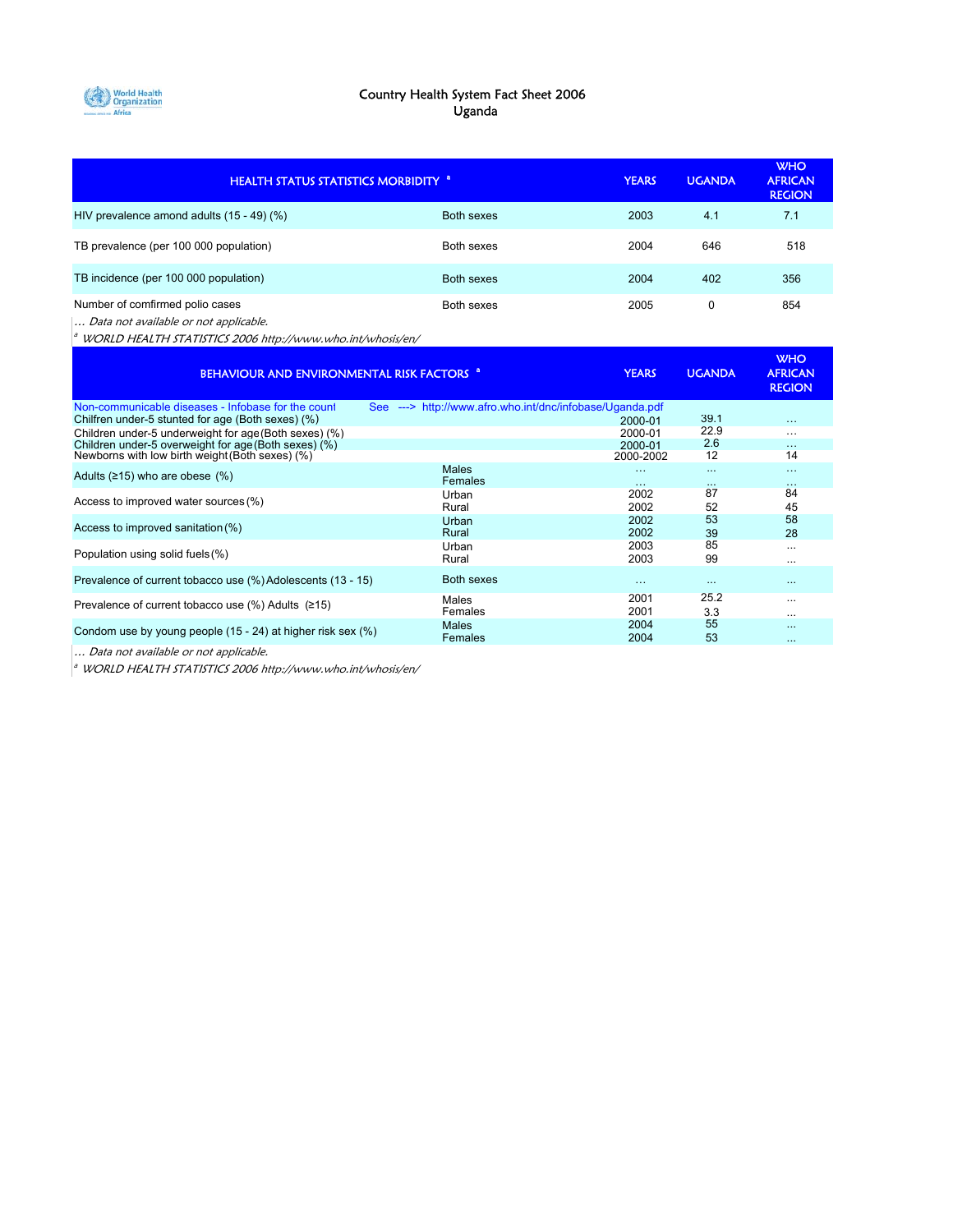

#### Country Health System Fact Sheet 2006 Uganda

| <b>HEALTH STATUS STATISTICS MORBIDITY <sup>a</sup></b>                   |                   | <b>YEARS</b> | <b>UGANDA</b> | <b>WHO</b><br><b>AFRICAN</b><br><b>REGION</b> |
|--------------------------------------------------------------------------|-------------------|--------------|---------------|-----------------------------------------------|
| HIV prevalence amond adults (15 - 49) (%)                                | <b>Both sexes</b> | 2003         | 4.1           | 7.1                                           |
| TB prevalence (per 100 000 population)                                   | Both sexes        | 2004         | 646           | 518                                           |
| TB incidence (per 100 000 population)                                    | Both sexes        | 2004         | 402           | 356                                           |
| Number of comfirmed polio cases<br>Data not available or not applicable. | Both sexes        | 2005         | 0             | 854                                           |

 $a$  WORLD HEALTH STATISTICS 2006 http://www.who.int/whosis/en/

| BEHAVIOUR AND ENVIRONMENTAL RISK FACTORS <sup>a</sup>         |                                                          | <b>YEARS</b> | <b>UGANDA</b> | <b>WHO</b><br><b>AFRICAN</b><br><b>REGION</b> |
|---------------------------------------------------------------|----------------------------------------------------------|--------------|---------------|-----------------------------------------------|
| Non-communicable diseases - Infobase for the count            | See ---> http://www.afro.who.int/dnc/infobase/Uganda.pdf |              |               |                                               |
| Chilfren under-5 stunted for age (Both sexes) (%)             |                                                          | 2000-01      | 39.1          | $\cdots$                                      |
| Children under-5 underweight for age (Both sexes) (%)         |                                                          | 2000-01      | 22.9          | $\cdots$                                      |
| Children under-5 overweight for age (Both sexes) (%)          |                                                          | 2000-01      | 2.6           | $\cdots$                                      |
| Newborns with low birth weight (Both sexes) (%)               |                                                          | 2000-2002    | 12            | 14                                            |
| Adults $(≥15)$ who are obese $(%$                             | Males                                                    | $\cdots$     | $\cdots$      | $\cdots$                                      |
|                                                               | Females                                                  | $\cdots$     | $\cdots$      | $\cdots$                                      |
|                                                               | Urban                                                    | 2002         | 87            | 84                                            |
| Access to improved water sources (%)                          | Rural                                                    | 2002         | 52            | 45                                            |
|                                                               | Urban                                                    | 2002         | 53            | 58                                            |
| Access to improved sanitation (%)                             | Rural                                                    | 2002         | 39            | 28                                            |
|                                                               | Urban                                                    | 2003         | 85            | $\cdots$                                      |
| Population using solid fuels (%)                              | Rural                                                    | 2003         | 99            |                                               |
|                                                               |                                                          |              |               |                                               |
| Prevalence of current tobacco use (%) Adolescents (13 - 15)   | <b>Both sexes</b>                                        | $\cdots$     | $\cdots$      | $\cdots$                                      |
|                                                               | Males                                                    | 2001         | 25.2          | $\cdots$                                      |
| Prevalence of current tobacco use $(\%)$ Adults ( $\geq 15$ ) | Females                                                  | 2001         | 3.3           |                                               |
|                                                               | Males                                                    | 2004         | 55            | $\cdots$                                      |
| Condom use by young people (15 - 24) at higher risk sex (%)   | Females                                                  | 2004         | 53            | $\cdots$                                      |
|                                                               |                                                          |              |               |                                               |

... Data not available or not applicable.

 $\frac{a}{b}$  WORLD HEALTH STATISTICS 2006 http://www.who.int/whosis/en/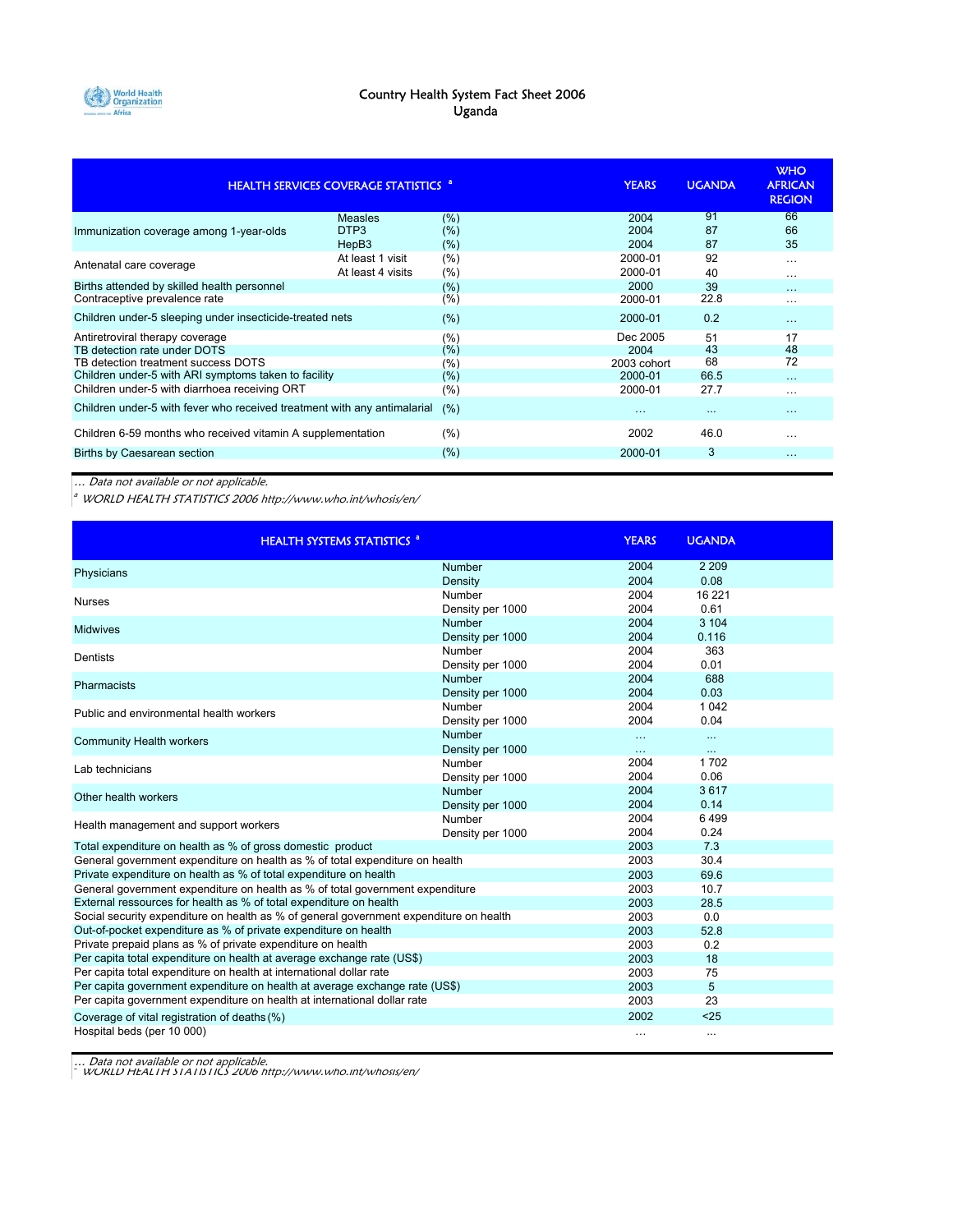

#### Country Health System Fact Sheet 2006 Uganda

|                                                                          | <b>HEALTH SERVICES COVERAGE STATISTICS "</b> |         | <b>YEARS</b> | <b>UGANDA</b> | <b>WHO</b><br><b>AFRICAN</b><br><b>REGION</b> |
|--------------------------------------------------------------------------|----------------------------------------------|---------|--------------|---------------|-----------------------------------------------|
| Immunization coverage among 1-year-olds                                  | <b>Measles</b>                               | (% )    | 2004         | 91            | 66                                            |
|                                                                          | DTP <sub>3</sub>                             | (%)     | 2004         | 87            | 66                                            |
|                                                                          | HepB3                                        | (%)     | 2004         | 87            | 35                                            |
| Antenatal care coverage                                                  | At least 1 visit                             | (%)     | 2000-01      | 92            | $\cdots$                                      |
|                                                                          | At least 4 visits                            | (%)     | 2000-01      | 40            | $\cdots$                                      |
| Births attended by skilled health personnel                              |                                              | (%)     | 2000         | 39            | $\cdots$                                      |
| Contraceptive prevalence rate                                            |                                              | (%)     | 2000-01      | 22.8          | $\cdots$                                      |
| Children under-5 sleeping under insecticide-treated nets                 |                                              | $(\% )$ | 2000-01      | 0.2           | $\cdots$                                      |
| Antiretroviral therapy coverage                                          |                                              | (%)     | Dec 2005     | 51            | 17                                            |
| TB detection rate under DOTS                                             |                                              | (%)     | 2004         | 43            | 48                                            |
| TB detection treatment success DOTS                                      |                                              | (%)     | 2003 cohort  | 68            | 72                                            |
| Children under-5 with ARI symptoms taken to facility                     |                                              | (%)     | 2000-01      | 66.5          | $\cdots$                                      |
| Children under-5 with diarrhoea receiving ORT                            |                                              | (%)     | 2000-01      | 27.7          | $\cdots$                                      |
| Children under-5 with fever who received treatment with any antimalarial |                                              | (%)     | $\cdots$     | $\ddotsc$     | $\cdots$                                      |
| Children 6-59 months who received vitamin A supplementation              |                                              | (%)     | 2002         | 46.0          | .                                             |
| Births by Caesarean section                                              |                                              | (% )    | 2000-01      | 3             | $\cdots$                                      |

… Data not available or not applicable.

 $^{\circ}$  WORLD HEALTH STATISTICS 2006 http://www.who.int/whosis/en/

| <b>HEALTH SYSTEMS STATISTICS <sup>a</sup></b>                                          |                  | <b>YEARS</b> | <b>UGANDA</b> |  |
|----------------------------------------------------------------------------------------|------------------|--------------|---------------|--|
| Physicians                                                                             | Number           | 2004         | 2 2 0 9       |  |
|                                                                                        | Density          | 2004         | 0.08          |  |
| <b>Nurses</b>                                                                          | Number           | 2004         | 16 221        |  |
|                                                                                        | Density per 1000 | 2004         | 0.61          |  |
| <b>Midwives</b>                                                                        | Number           | 2004         | 3 104         |  |
|                                                                                        | Density per 1000 | 2004         | 0.116         |  |
| Dentists                                                                               | Number           | 2004         | 363           |  |
|                                                                                        | Density per 1000 | 2004         | 0.01          |  |
| Pharmacists                                                                            | Number           | 2004         | 688           |  |
|                                                                                        | Density per 1000 | 2004         | 0.03          |  |
| Public and environmental health workers                                                | Number           | 2004         | 1 0 4 2       |  |
|                                                                                        | Density per 1000 | 2004         | 0.04          |  |
| <b>Community Health workers</b>                                                        | Number           | $\cdots$     | $\ldots$      |  |
|                                                                                        | Density per 1000 | $\cdots$     | $\ddotsc$     |  |
| Lab technicians                                                                        | Number           | 2004         | 1702          |  |
|                                                                                        | Density per 1000 | 2004         | 0.06          |  |
| Other health workers                                                                   | Number           | 2004         | 3617          |  |
|                                                                                        | Density per 1000 | 2004         | 0.14          |  |
| Health management and support workers                                                  | Number           | 2004         | 6499          |  |
|                                                                                        | Density per 1000 | 2004         | 0.24          |  |
| Total expenditure on health as % of gross domestic product                             |                  | 2003         | 7.3           |  |
| General government expenditure on health as % of total expenditure on health           |                  | 2003         | 30.4          |  |
| Private expenditure on health as % of total expenditure on health                      |                  | 2003         | 69.6          |  |
| General government expenditure on health as % of total government expenditure          |                  | 2003         | 10.7          |  |
| External ressources for health as % of total expenditure on health                     |                  | 2003         | 28.5          |  |
| Social security expenditure on health as % of general government expenditure on health |                  | 2003         | 0.0           |  |
| Out-of-pocket expenditure as % of private expenditure on health                        |                  | 2003         | 52.8          |  |
| Private prepaid plans as % of private expenditure on health                            |                  | 2003         | 0.2           |  |
| Per capita total expenditure on health at average exchange rate (US\$)                 |                  | 2003         | 18            |  |
| Per capita total expenditure on health at international dollar rate                    |                  | 2003         | 75            |  |
| Per capita government expenditure on health at average exchange rate (US\$)            |                  | 2003         | 5             |  |
| Per capita government expenditure on health at international dollar rate               |                  | 2003         | 23            |  |
| Coverage of vital registration of deaths (%)                                           |                  | 2002         | $25$          |  |
| Hospital beds (per 10 000)                                                             |                  |              | $\cdots$      |  |

… Data not available or not applicable. <sup>a</sup>WORLD HEALTH STATISTICS 2006 http://www.who.int/whosis/en/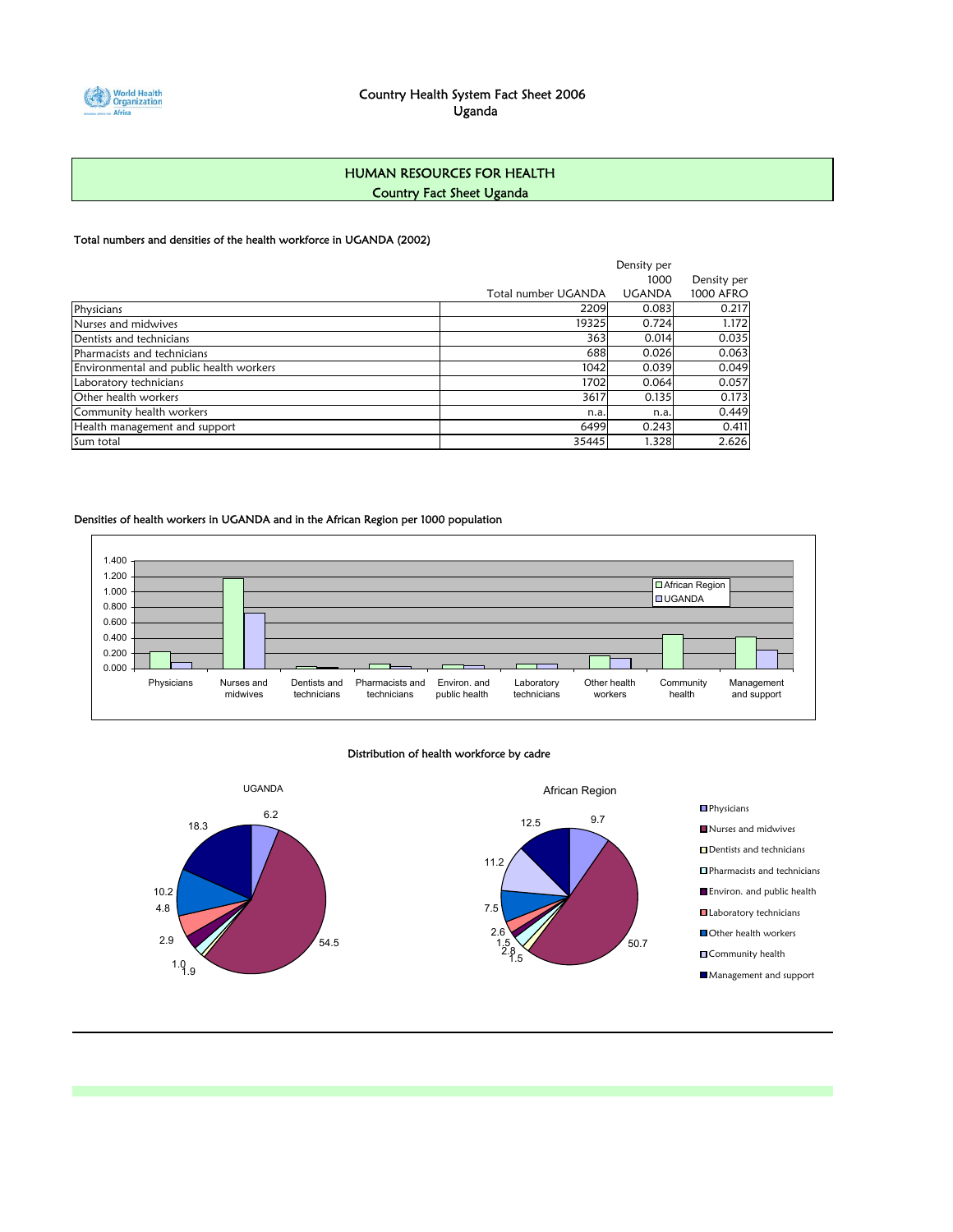

### HUMAN RESOURCES FOR HEALTH Country Fact Sheet Uganda

#### Total numbers and densities of the health workforce in UGANDA (2002)

|                                         |                     | Density per   |                  |
|-----------------------------------------|---------------------|---------------|------------------|
|                                         |                     | 1000          | Density per      |
|                                         | Total number UGANDA | <b>UGANDA</b> | <b>1000 AFRO</b> |
| Physicians                              | 2209                | 0.083         | 0.217            |
| Nurses and midwives                     | 19325               | 0.724         | 1.172            |
| Dentists and technicians                | 363                 | 0.014         | 0.035            |
| Pharmacists and technicians             | 688                 | 0.026         | 0.063            |
| Environmental and public health workers | 1042                | 0.039         | 0.049            |
| Laboratory technicians                  | 1702                | 0.064         | 0.057            |
| Other health workers                    | 3617                | 0.135         | 0.173            |
| Community health workers                | n.a                 | n.a.          | 0.449            |
| Health management and support           | 6499                | 0.243         | 0.411            |
| Sum total                               | 35445               | 1.328         | 2.626            |

#### Densities of health workers in UGANDA and in the African Region per 1000 population



#### Distribution of health workforce by cadre

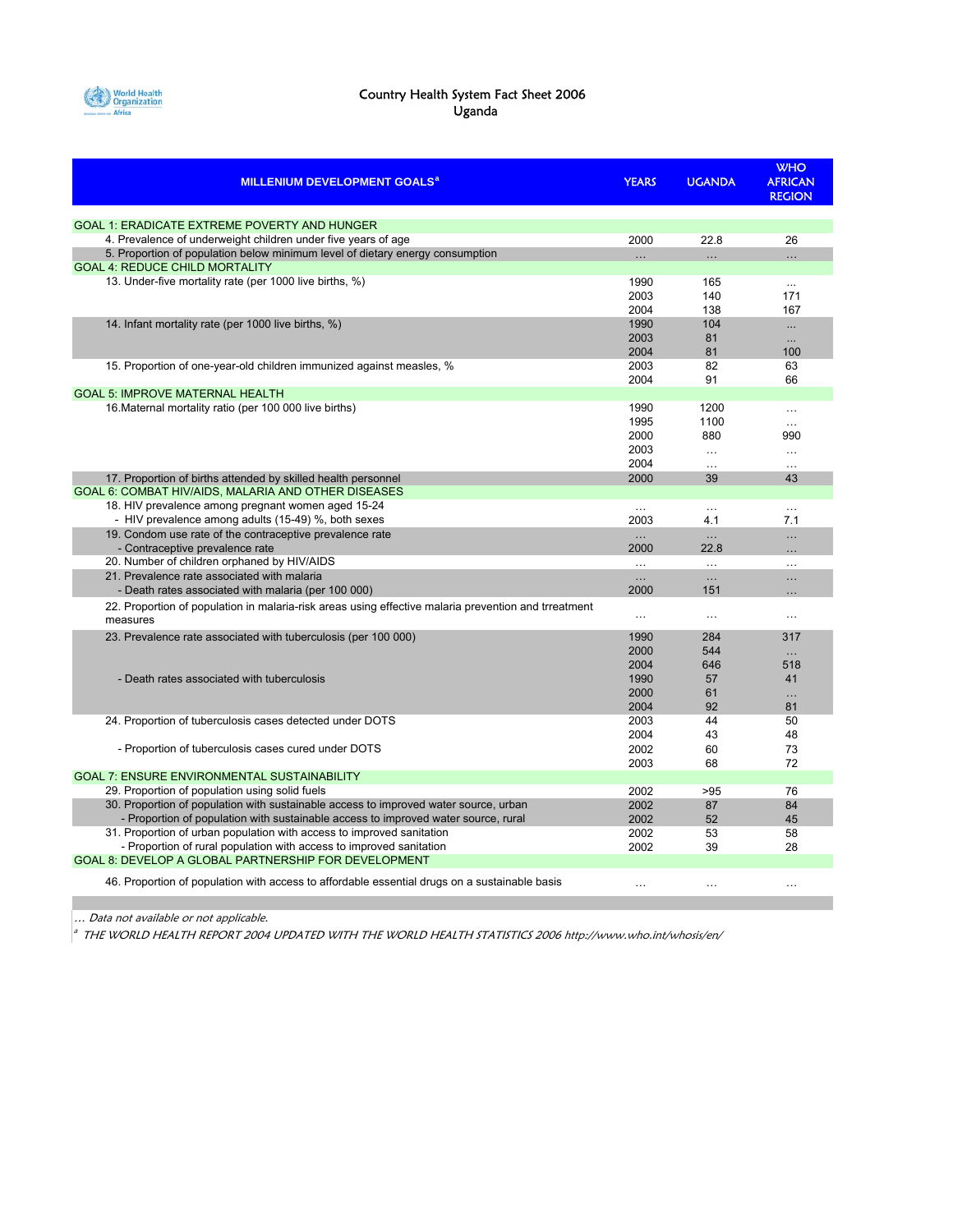

#### Country Health System Fact Sheet 2006 Uganda

| <b>MILLENIUM DEVELOPMENT GOALS<sup>a</sup></b>                                                                         | <b>YEARS</b> | <b>UGANDA</b> | <b>WHO</b><br><b>AFRICAN</b><br><b>REGION</b> |
|------------------------------------------------------------------------------------------------------------------------|--------------|---------------|-----------------------------------------------|
| <b>GOAL 1: ERADICATE EXTREME POVERTY AND HUNGER</b>                                                                    |              |               |                                               |
| 4. Prevalence of underweight children under five years of age                                                          | 2000         | 22.8          | 26                                            |
| 5. Proportion of population below minimum level of dietary energy consumption<br><b>GOAL 4: REDUCE CHILD MORTALITY</b> |              | $\ddotsc$     | $\ddotsc$                                     |
| 13. Under-five mortality rate (per 1000 live births, %)                                                                | 1990         | 165           | $\ddotsc$                                     |
|                                                                                                                        | 2003         | 140           | 171                                           |
| 14. Infant mortality rate (per 1000 live births, %)                                                                    | 2004         | 138           | 167                                           |
|                                                                                                                        | 1990         | 104           | $\ddotsc$                                     |
|                                                                                                                        | 2003         | 81            | $\ddotsc$                                     |
| 15. Proportion of one-year-old children immunized against measles, %                                                   | 2004         | 81            | 100                                           |
|                                                                                                                        | 2003         | 82            | 63                                            |
|                                                                                                                        | 2004         | 91            | 66                                            |
| <b>GOAL 5: IMPROVE MATERNAL HEALTH</b>                                                                                 |              |               |                                               |
| 16. Maternal mortality ratio (per 100 000 live births)                                                                 | 1990         | 1200          | $\cdots$                                      |
|                                                                                                                        | 1995         | 1100          | $\cdots$                                      |
|                                                                                                                        | 2000         | 880           | 990                                           |
|                                                                                                                        | 2003         | $\cdots$      | $\ldots$                                      |
|                                                                                                                        | 2004         | $\ddotsc$     |                                               |
| 17. Proportion of births attended by skilled health personnel<br>GOAL 6: COMBAT HIV/AIDS, MALARIA AND OTHER DISEASES   | 2000         | 39            | 43                                            |
| 18. HIV prevalence among pregnant women aged 15-24                                                                     | $\cdots$     | $\cdots$      | $\cdots$                                      |
| - HIV prevalence among adults (15-49) %, both sexes                                                                    | 2003         | 4.1           | 7.1                                           |
| 19. Condom use rate of the contraceptive prevalence rate                                                               | $\ddotsc$    | $\ddotsc$     | $\ddotsc$                                     |
| - Contraceptive prevalence rate                                                                                        | 2000         | 22.8          | $\cdots$                                      |
| 20. Number of children orphaned by HIV/AIDS                                                                            | $\cdots$     | $\ddotsc$     | $\ddotsc$                                     |
| 21. Prevalence rate associated with malaria                                                                            | $\dots$      | $\ldots$      | $\ldots$                                      |
| - Death rates associated with malaria (per 100 000)                                                                    | 2000         | 151           | $\cdots$                                      |
| 22. Proportion of population in malaria-risk areas using effective malaria prevention and trreatment<br>measures       | $\ldots$     | $\ldots$      | $\ldots$                                      |
| 23. Prevalence rate associated with tuberculosis (per 100 000)                                                         | 1990         | 284           | 317                                           |
|                                                                                                                        | 2000         | 544           | $\ldots$                                      |
|                                                                                                                        | 2004         | 646           | 518                                           |
| - Death rates associated with tuberculosis                                                                             | 1990         | 57            | 41                                            |
|                                                                                                                        | 2000         | 61            | $\ddotsc$                                     |
|                                                                                                                        | 2004         | 92            | 81                                            |
| 24. Proportion of tuberculosis cases detected under DOTS                                                               | 2003         | 44            | 50                                            |
|                                                                                                                        | 2004         | 43            | 48                                            |
| - Proportion of tuberculosis cases cured under DOTS                                                                    | 2002         | 60            | 73                                            |
|                                                                                                                        | 2003         | 68            | 72                                            |
| <b>GOAL 7: ENSURE ENVIRONMENTAL SUSTAINABILITY</b>                                                                     |              |               |                                               |
| 29. Proportion of population using solid fuels                                                                         | 2002         | >95           | 76                                            |
| 30. Proportion of population with sustainable access to improved water source, urban                                   | 2002         | 87            | 84                                            |
| - Proportion of population with sustainable access to improved water source, rural                                     | 2002         | 52            | 45                                            |
| 31. Proportion of urban population with access to improved sanitation                                                  | 2002         | 53            | 58                                            |
| - Proportion of rural population with access to improved sanitation                                                    | 2002         | 39            | 28                                            |
| GOAL 8: DEVELOP A GLOBAL PARTNERSHIP FOR DEVELOPMENT                                                                   |              |               |                                               |
| 46. Proportion of population with access to affordable essential drugs on a sustainable basis                          | .            | $\ddotsc$     | $\ddotsc$                                     |

… Data not available or not applicable.

 $\frac{a}{a}$  THE WORLD HEALTH REPORT 2004 UPDATED WITH THE WORLD HEALTH STATISTICS 2006 http://www.who.int/whosis/en/